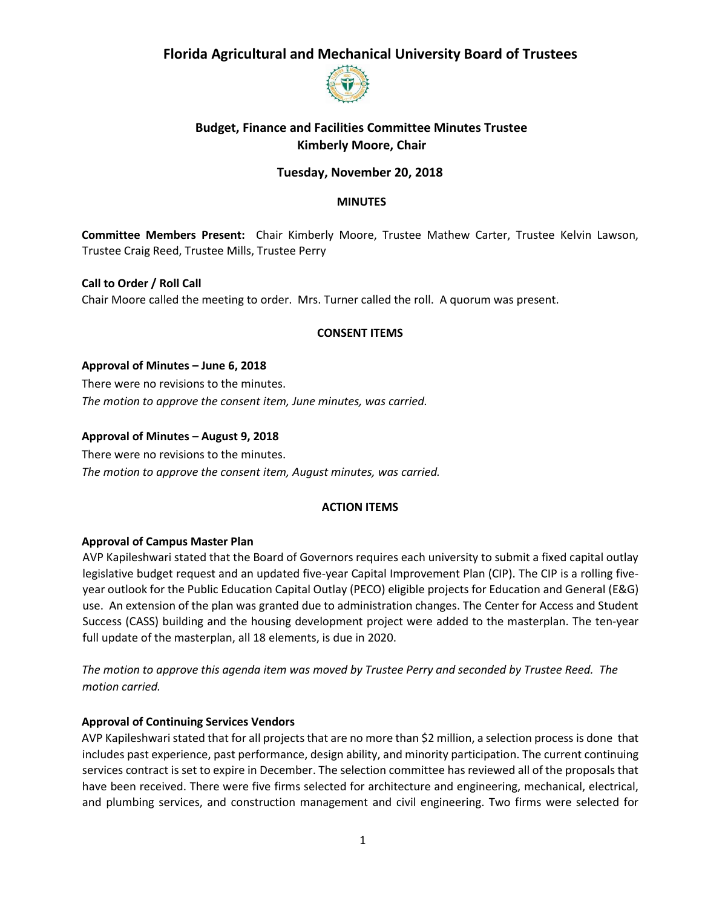

## **Budget, Finance and Facilities Committee Minutes Trustee Kimberly Moore, Chair**

## **Tuesday, November 20, 2018**

#### **MINUTES**

**Committee Members Present:** Chair Kimberly Moore, Trustee Mathew Carter, Trustee Kelvin Lawson, Trustee Craig Reed, Trustee Mills, Trustee Perry

**Call to Order / Roll Call**  Chair Moore called the meeting to order. Mrs. Turner called the roll. A quorum was present.

#### **CONSENT ITEMS**

**Approval of Minutes – June 6, 2018** There were no revisions to the minutes. *The motion to approve the consent item, June minutes, was carried.* 

#### **Approval of Minutes – August 9, 2018**

There were no revisions to the minutes. *The motion to approve the consent item, August minutes, was carried.* 

#### **ACTION ITEMS**

#### **Approval of Campus Master Plan**

AVP Kapileshwari stated that the Board of Governors requires each university to submit a fixed capital outlay legislative budget request and an updated five-year Capital Improvement Plan (CIP). The CIP is a rolling fiveyear outlook for the Public Education Capital Outlay (PECO) eligible projects for Education and General (E&G) use. An extension of the plan was granted due to administration changes. The Center for Access and Student Success (CASS) building and the housing development project were added to the masterplan. The ten-year full update of the masterplan, all 18 elements, is due in 2020.

*The motion to approve this agenda item was moved by Trustee Perry and seconded by Trustee Reed. The motion carried.* 

#### **Approval of Continuing Services Vendors**

AVP Kapileshwari stated that for all projects that are no more than \$2 million, a selection process is done that includes past experience, past performance, design ability, and minority participation. The current continuing services contract is set to expire in December. The selection committee has reviewed all of the proposals that have been received. There were five firms selected for architecture and engineering, mechanical, electrical, and plumbing services, and construction management and civil engineering. Two firms were selected for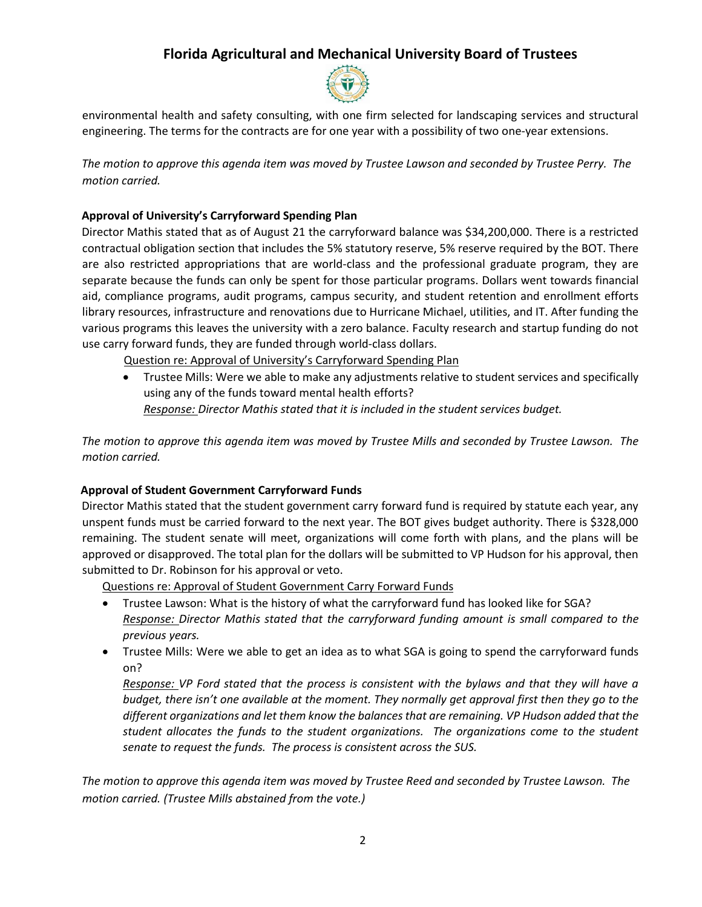

environmental health and safety consulting, with one firm selected for landscaping services and structural engineering. The terms for the contracts are for one year with a possibility of two one-year extensions.

*The motion to approve this agenda item was moved by Trustee Lawson and seconded by Trustee Perry. The motion carried.* 

## **Approval of University's Carryforward Spending Plan**

Director Mathis stated that as of August 21 the carryforward balance was \$34,200,000. There is a restricted contractual obligation section that includes the 5% statutory reserve, 5% reserve required by the BOT. There are also restricted appropriations that are world-class and the professional graduate program, they are separate because the funds can only be spent for those particular programs. Dollars went towards financial aid, compliance programs, audit programs, campus security, and student retention and enrollment efforts library resources, infrastructure and renovations due to Hurricane Michael, utilities, and IT. After funding the various programs this leaves the university with a zero balance. Faculty research and startup funding do not use carry forward funds, they are funded through world-class dollars.

Question re: Approval of University's Carryforward Spending Plan

 Trustee Mills: Were we able to make any adjustments relative to student services and specifically using any of the funds toward mental health efforts? *Response: Director Mathis stated that it is included in the student services budget.* 

*The motion to approve this agenda item was moved by Trustee Mills and seconded by Trustee Lawson. The motion carried.* 

## **Approval of Student Government Carryforward Funds**

Director Mathis stated that the student government carry forward fund is required by statute each year, any unspent funds must be carried forward to the next year. The BOT gives budget authority. There is \$328,000 remaining. The student senate will meet, organizations will come forth with plans, and the plans will be approved or disapproved. The total plan for the dollars will be submitted to VP Hudson for his approval, then submitted to Dr. Robinson for his approval or veto.

Questions re: Approval of Student Government Carry Forward Funds

- Trustee Lawson: What is the history of what the carryforward fund has looked like for SGA? *Response: Director Mathis stated that the carryforward funding amount is small compared to the previous years.*
- Trustee Mills: Were we able to get an idea as to what SGA is going to spend the carryforward funds on?

*Response: VP Ford stated that the process is consistent with the bylaws and that they will have a budget, there isn't one available at the moment. They normally get approval first then they go to the different organizations and let them know the balances that are remaining. VP Hudson added that the student allocates the funds to the student organizations. The organizations come to the student senate to request the funds. The process is consistent across the SUS.*

*The motion to approve this agenda item was moved by Trustee Reed and seconded by Trustee Lawson. The motion carried. (Trustee Mills abstained from the vote.)*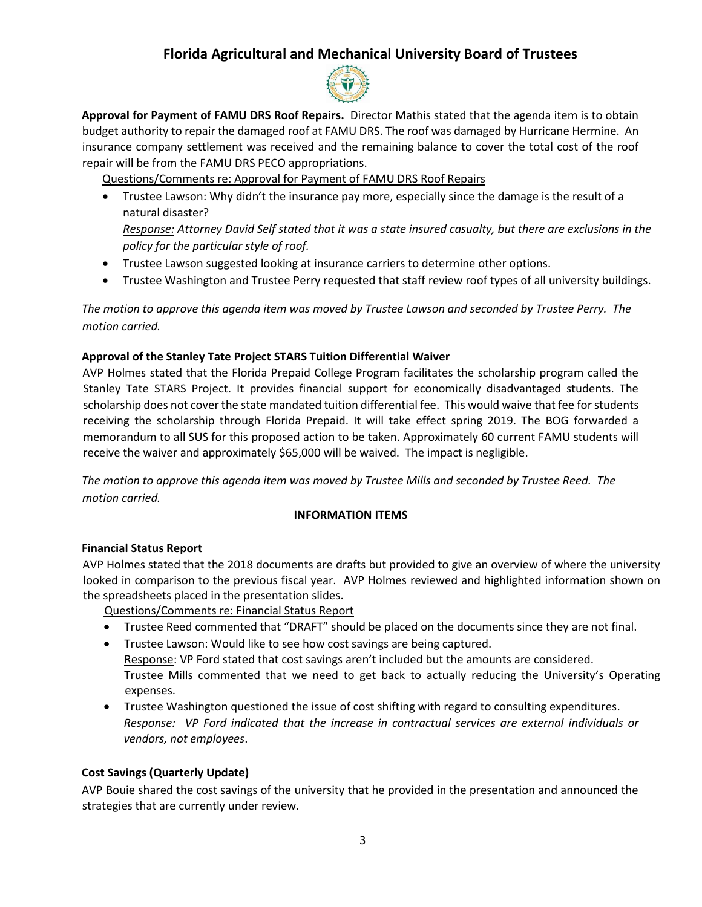

**Approval for Payment of FAMU DRS Roof Repairs.** Director Mathis stated that the agenda item is to obtain budget authority to repair the damaged roof at FAMU DRS. The roof was damaged by Hurricane Hermine. An insurance company settlement was received and the remaining balance to cover the total cost of the roof repair will be from the FAMU DRS PECO appropriations.

Questions/Comments re: Approval for Payment of FAMU DRS Roof Repairs

 Trustee Lawson: Why didn't the insurance pay more, especially since the damage is the result of a natural disaster?

*Response: Attorney David Self stated that it was a state insured casualty, but there are exclusions in the policy for the particular style of roof.* 

- Trustee Lawson suggested looking at insurance carriers to determine other options.
- Trustee Washington and Trustee Perry requested that staff review roof types of all university buildings.

*The motion to approve this agenda item was moved by Trustee Lawson and seconded by Trustee Perry. The motion carried.* 

### **Approval of the Stanley Tate Project STARS Tuition Differential Waiver**

AVP Holmes stated that the Florida Prepaid College Program facilitates the scholarship program called the Stanley Tate STARS Project. It provides financial support for economically disadvantaged students. The scholarship does not cover the state mandated tuition differential fee. This would waive that fee for students receiving the scholarship through Florida Prepaid. It will take effect spring 2019. The BOG forwarded a memorandum to all SUS for this proposed action to be taken. Approximately 60 current FAMU students will receive the waiver and approximately \$65,000 will be waived. The impact is negligible.

*The motion to approve this agenda item was moved by Trustee Mills and seconded by Trustee Reed. The motion carried.* 

## **INFORMATION ITEMS**

#### **Financial Status Report**

AVP Holmes stated that the 2018 documents are drafts but provided to give an overview of where the university looked in comparison to the previous fiscal year. AVP Holmes reviewed and highlighted information shown on the spreadsheets placed in the presentation slides.

Questions/Comments re: Financial Status Report

- Trustee Reed commented that "DRAFT" should be placed on the documents since they are not final.
- Trustee Lawson: Would like to see how cost savings are being captured. Response: VP Ford stated that cost savings aren't included but the amounts are considered. Trustee Mills commented that we need to get back to actually reducing the University's Operating expenses.
- Trustee Washington questioned the issue of cost shifting with regard to consulting expenditures. *Response: VP Ford indicated that the increase in contractual services are external individuals or vendors, not employees*.

## **Cost Savings (Quarterly Update)**

AVP Bouie shared the cost savings of the university that he provided in the presentation and announced the strategies that are currently under review.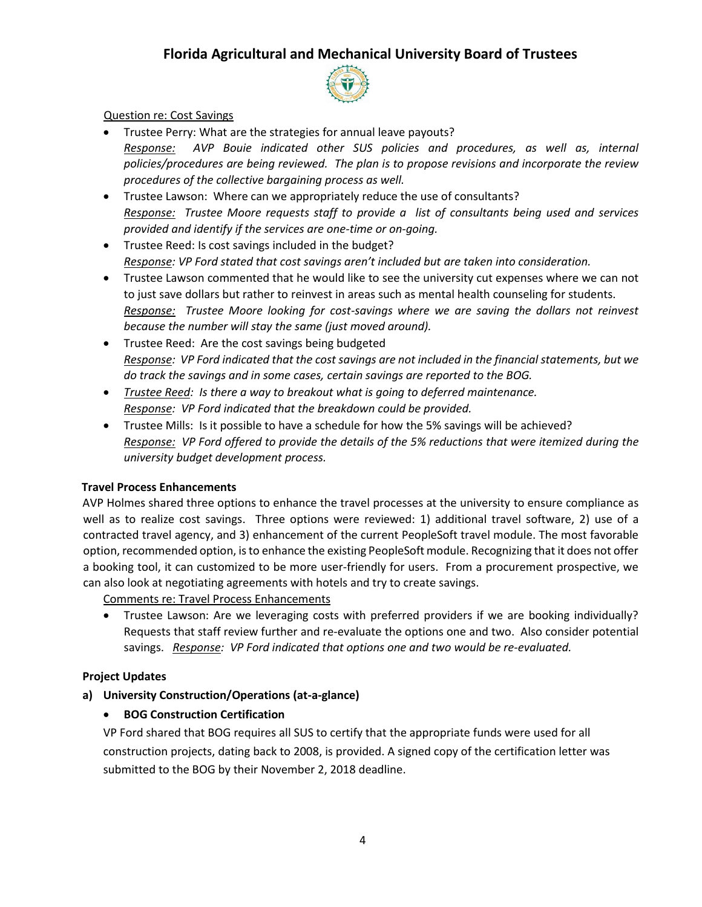

#### Question re: Cost Savings

- Trustee Perry: What are the strategies for annual leave payouts? *Response: AVP Bouie indicated other SUS policies and procedures, as well as, internal policies/procedures are being reviewed. The plan is to propose revisions and incorporate the review procedures of the collective bargaining process as well.*
- Trustee Lawson: Where can we appropriately reduce the use of consultants? *Response: Trustee Moore requests staff to provide a list of consultants being used and services provided and identify if the services are one-time or on-going.*
- Trustee Reed: Is cost savings included in the budget? *Response: VP Ford stated that cost savings aren't included but are taken into consideration.*
- Trustee Lawson commented that he would like to see the university cut expenses where we can not to just save dollars but rather to reinvest in areas such as mental health counseling for students. *Response: Trustee Moore looking for cost-savings where we are saving the dollars not reinvest because the number will stay the same (just moved around).*
- Trustee Reed: Are the cost savings being budgeted *Response: VP Ford indicated that the cost savings are not included in the financial statements, but we do track the savings and in some cases, certain savings are reported to the BOG.*
- *Trustee Reed: Is there a way to breakout what is going to deferred maintenance. Response: VP Ford indicated that the breakdown could be provided.*
- Trustee Mills: Is it possible to have a schedule for how the 5% savings will be achieved? *Response: VP Ford offered to provide the details of the 5% reductions that were itemized during the university budget development process.*

#### **Travel Process Enhancements**

AVP Holmes shared three options to enhance the travel processes at the university to ensure compliance as well as to realize cost savings. Three options were reviewed: 1) additional travel software, 2) use of a contracted travel agency, and 3) enhancement of the current PeopleSoft travel module. The most favorable option, recommended option, is to enhance the existing PeopleSoft module. Recognizing that it does not offer a booking tool, it can customized to be more user-friendly for users. From a procurement prospective, we can also look at negotiating agreements with hotels and try to create savings.

Comments re: Travel Process Enhancements

 Trustee Lawson: Are we leveraging costs with preferred providers if we are booking individually? Requests that staff review further and re-evaluate the options one and two. Also consider potential savings. *Response: VP Ford indicated that options one and two would be re-evaluated.*

#### **Project Updates**

**a) University Construction/Operations (at-a-glance)** 

## **BOG Construction Certification**

VP Ford shared that BOG requires all SUS to certify that the appropriate funds were used for all construction projects, dating back to 2008, is provided. A signed copy of the certification letter was submitted to the BOG by their November 2, 2018 deadline.